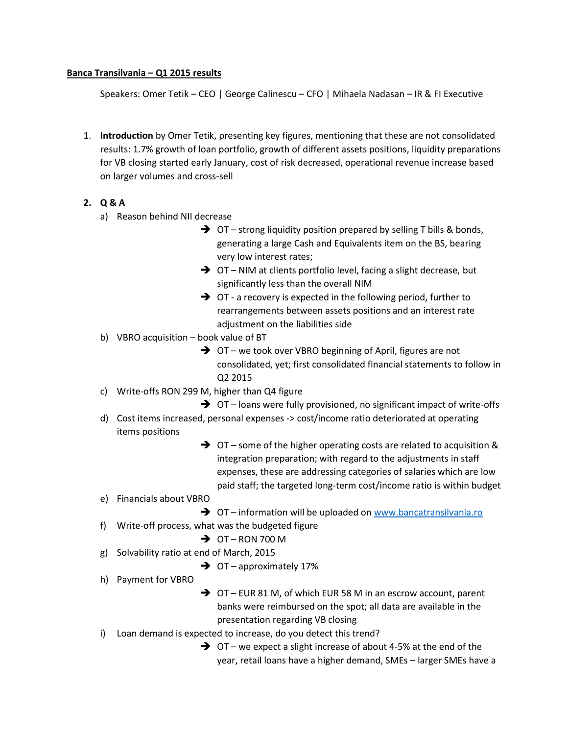## **Banca Transilvania – Q1 2015 results**

Speakers: Omer Tetik – CEO | George Calinescu – CFO | Mihaela Nadasan – IR & FI Executive

1. **Introduction** by Omer Tetik, presenting key figures, mentioning that these are not consolidated results: 1.7% growth of loan portfolio, growth of different assets positions, liquidity preparations for VB closing started early January, cost of risk decreased, operational revenue increase based on larger volumes and cross-sell

## **2. Q & A**

- a) Reason behind NII decrease
	- $\rightarrow$  OT strong liquidity position prepared by selling T bills & bonds, generating a large Cash and Equivalents item on the BS, bearing very low interest rates;
	- → OT NIM at clients portfolio level, facing a slight decrease, but significantly less than the overall NIM
	- $\rightarrow$  OT a recovery is expected in the following period, further to rearrangements between assets positions and an interest rate adjustment on the liabilities side
- b) VBRO acquisition book value of BT
	- **→** OT we took over VBRO beginning of April, figures are not consolidated, yet; first consolidated financial statements to follow in Q2 2015
- c) Write-offs RON 299 M, higher than Q4 figure
	- $\rightarrow$  OT loans were fully provisioned, no significant impact of write-offs
- d) Cost items increased, personal expenses -> cost/income ratio deteriorated at operating items positions
	- $\rightarrow$  OT some of the higher operating costs are related to acquisition & integration preparation; with regard to the adjustments in staff expenses, these are addressing categories of salaries which are low paid staff; the targeted long-term cost/income ratio is within budget

e) Financials about VBRO

- **→** OT information will be uploaded on [www.bancatransilvania.ro](http://www.bancatransilvania.ro/) f) Write-off process, what was the budgeted figure
	- $\rightarrow$  OT RON 700 M
- g) Solvability ratio at end of March, 2015
	- $\rightarrow$  OT approximately 17%
- h) Payment for VBRO
- **→** OT EUR 81 M, of which EUR 58 M in an escrow account, parent banks were reimbursed on the spot; all data are available in the presentation regarding VB closing
- i) Loan demand is expected to increase, do you detect this trend?
	- $\rightarrow$  OT we expect a slight increase of about 4-5% at the end of the year, retail loans have a higher demand, SMEs – larger SMEs have a